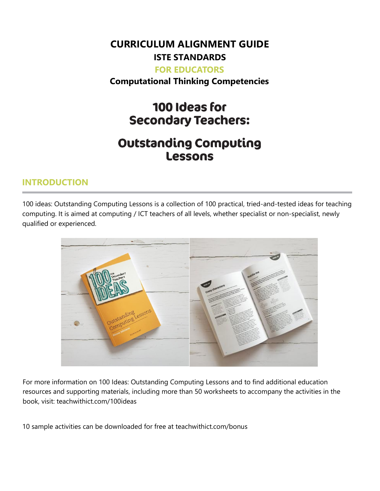# **CURRICULUM ALIGNMENT GUIDE ISTE STANDARDS**

#### **FOR EDUCATORS**

**Computational Thinking Competencies**

# 100 Ideas for **Secondary Teachers:**

# **Outstanding Computing Lessons**

#### **INTRODUCTION**

100 ideas: Outstanding Computing Lessons is a collection of 100 practical, tried-and-tested ideas for teaching computing. It is aimed at computing / ICT teachers of all levels, whether specialist or non-specialist, newly qualified or experienced.



For more information on 100 Ideas: Outstanding Computing Lessons and to find additional education resources and supporting materials, including more than 50 worksheets to accompany the activities in the book, visit: teachwithict.com/100ideas

10 sample activities can be downloaded for free at teachwithict.com/bonus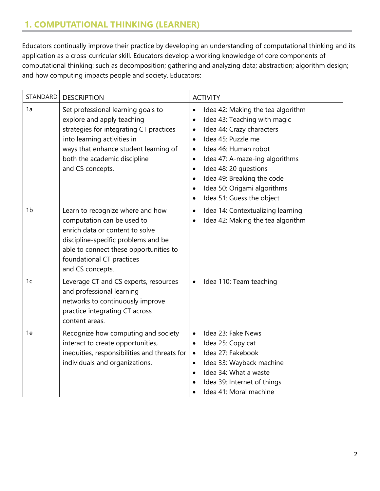## **1. COMPUTATIONAL THINKING (LEARNER)**

Educators continually improve their practice by developing an understanding of computational thinking and its application as a cross-curricular skill. Educators develop a working knowledge of core components of computational thinking: such as decomposition; gathering and analyzing data; abstraction; algorithm design; and how computing impacts people and society. Educators:

| <b>STANDARD</b> | <b>DESCRIPTION</b>                                                                                                                                                                                                                      | <b>ACTIVITY</b>                                                                                                                                                                                                                                                                                                                                                                                                                     |
|-----------------|-----------------------------------------------------------------------------------------------------------------------------------------------------------------------------------------------------------------------------------------|-------------------------------------------------------------------------------------------------------------------------------------------------------------------------------------------------------------------------------------------------------------------------------------------------------------------------------------------------------------------------------------------------------------------------------------|
| 1a              | Set professional learning goals to<br>explore and apply teaching<br>strategies for integrating CT practices<br>into learning activities in<br>ways that enhance student learning of<br>both the academic discipline<br>and CS concepts. | Idea 42: Making the tea algorithm<br>$\bullet$<br>Idea 43: Teaching with magic<br>$\bullet$<br>Idea 44: Crazy characters<br>$\bullet$<br>Idea 45: Puzzle me<br>$\bullet$<br>Idea 46: Human robot<br>$\bullet$<br>Idea 47: A-maze-ing algorithms<br>$\bullet$<br>Idea 48: 20 questions<br>$\bullet$<br>Idea 49: Breaking the code<br>$\bullet$<br>Idea 50: Origami algorithms<br>$\bullet$<br>Idea 51: Guess the object<br>$\bullet$ |
| 1 <sub>b</sub>  | Learn to recognize where and how<br>computation can be used to<br>enrich data or content to solve<br>discipline-specific problems and be<br>able to connect these opportunities to<br>foundational CT practices<br>and CS concepts.     | Idea 14: Contextualizing learning<br>$\bullet$<br>Idea 42: Making the tea algorithm<br>$\bullet$                                                                                                                                                                                                                                                                                                                                    |
| 1 <sub>c</sub>  | Leverage CT and CS experts, resources<br>and professional learning<br>networks to continuously improve<br>practice integrating CT across<br>content areas.                                                                              | Idea 110: Team teaching<br>$\bullet$                                                                                                                                                                                                                                                                                                                                                                                                |
| 1e              | Recognize how computing and society<br>interact to create opportunities,<br>inequities, responsibilities and threats for<br>individuals and organizations.                                                                              | Idea 23: Fake News<br>$\bullet$<br>Idea 25: Copy cat<br>٠<br>Idea 27: Fakebook<br>$\bullet$<br>Idea 33: Wayback machine<br>$\bullet$<br>Idea 34: What a waste<br>$\bullet$<br>Idea 39: Internet of things<br>Idea 41: Moral machine                                                                                                                                                                                                 |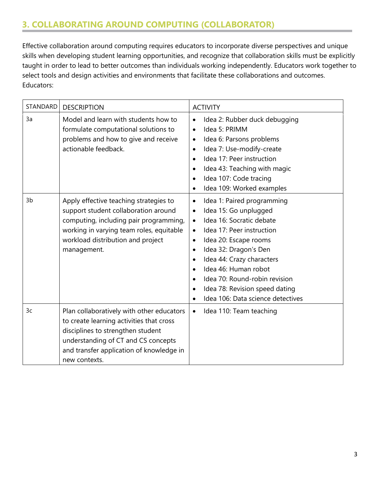### **3. COLLABORATING AROUND COMPUTING (COLLABORATOR)**

Effective collaboration around computing requires educators to incorporate diverse perspectives and unique skills when developing student learning opportunities, and recognize that collaboration skills must be explicitly taught in order to lead to better outcomes than individuals working independently. Educators work together to select tools and design activities and environments that facilitate these collaborations and outcomes. Educators:

| STANDARD | <b>DESCRIPTION</b>                                                                                                                                                                                                             | <b>ACTIVITY</b>                                                                                                                                                                                                                                                                                                                                                                                                                                  |
|----------|--------------------------------------------------------------------------------------------------------------------------------------------------------------------------------------------------------------------------------|--------------------------------------------------------------------------------------------------------------------------------------------------------------------------------------------------------------------------------------------------------------------------------------------------------------------------------------------------------------------------------------------------------------------------------------------------|
| 3a       | Model and learn with students how to<br>formulate computational solutions to<br>problems and how to give and receive<br>actionable feedback.                                                                                   | Idea 2: Rubber duck debugging<br>$\bullet$<br>Idea 5: PRIMM<br>$\bullet$<br>Idea 6: Parsons problems<br>$\bullet$<br>Idea 7: Use-modify-create<br>$\bullet$<br>Idea 17: Peer instruction<br>$\bullet$<br>Idea 43: Teaching with magic<br>$\bullet$<br>Idea 107: Code tracing<br>$\bullet$<br>Idea 109: Worked examples<br>$\bullet$                                                                                                              |
| 3b       | Apply effective teaching strategies to<br>support student collaboration around<br>computing, including pair programming,<br>working in varying team roles, equitable<br>workload distribution and project<br>management.       | Idea 1: Paired programming<br>$\bullet$<br>Idea 15: Go unplugged<br>$\bullet$<br>Idea 16: Socratic debate<br>$\bullet$<br>Idea 17: Peer instruction<br>$\bullet$<br>Idea 20: Escape rooms<br>$\bullet$<br>Idea 32: Dragon's Den<br>$\bullet$<br>Idea 44: Crazy characters<br>$\bullet$<br>Idea 46: Human robot<br>$\bullet$<br>Idea 70: Round-robin revision<br>$\bullet$<br>Idea 78: Revision speed dating<br>Idea 106: Data science detectives |
| 3c       | Plan collaboratively with other educators<br>to create learning activities that cross<br>disciplines to strengthen student<br>understanding of CT and CS concepts<br>and transfer application of knowledge in<br>new contexts. | Idea 110: Team teaching<br>$\bullet$                                                                                                                                                                                                                                                                                                                                                                                                             |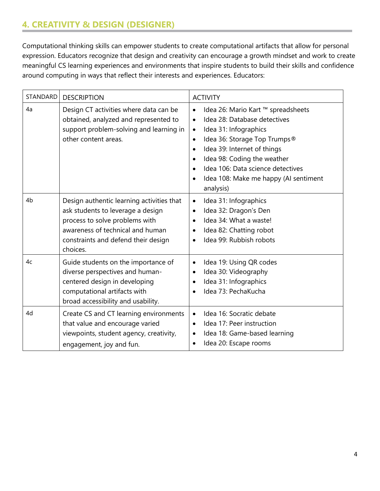### **4. CREATIVITY & DESIGN (DESIGNER)**

Computational thinking skills can empower students to create computational artifacts that allow for personal expression. Educators recognize that design and creativity can encourage a growth mindset and work to create meaningful CS learning experiences and environments that inspire students to build their skills and confidence around computing in ways that reflect their interests and experiences. Educators:

| <b>STANDARD</b> | <b>DESCRIPTION</b>                                                                                                                                                                                      | <b>ACTIVITY</b>                                                                                                                                                                                                                                                                                                                                                                 |
|-----------------|---------------------------------------------------------------------------------------------------------------------------------------------------------------------------------------------------------|---------------------------------------------------------------------------------------------------------------------------------------------------------------------------------------------------------------------------------------------------------------------------------------------------------------------------------------------------------------------------------|
| 4a              | Design CT activities where data can be<br>obtained, analyzed and represented to<br>support problem-solving and learning in<br>other content areas.                                                      | Idea 26: Mario Kart ™ spreadsheets<br>$\bullet$<br>Idea 28: Database detectives<br>$\bullet$<br>Idea 31: Infographics<br>$\bullet$<br>Idea 36: Storage Top Trumps®<br>$\bullet$<br>Idea 39: Internet of things<br>$\bullet$<br>Idea 98: Coding the weather<br>$\bullet$<br>Idea 106: Data science detectives<br>$\bullet$<br>Idea 108: Make me happy (AI sentiment<br>analysis) |
| 4b              | Design authentic learning activities that<br>ask students to leverage a design<br>process to solve problems with<br>awareness of technical and human<br>constraints and defend their design<br>choices. | Idea 31: Infographics<br>$\bullet$<br>Idea 32: Dragon's Den<br>$\bullet$<br>Idea 34: What a waste!<br>$\bullet$<br>Idea 82: Chatting robot<br>$\bullet$<br>Idea 99: Rubbish robots<br>$\bullet$                                                                                                                                                                                 |
| 4c              | Guide students on the importance of<br>diverse perspectives and human-<br>centered design in developing<br>computational artifacts with<br>broad accessibility and usability.                           | Idea 19: Using QR codes<br>$\bullet$<br>Idea 30: Videography<br>$\bullet$<br>Idea 31: Infographics<br>$\bullet$<br>Idea 73: PechaKucha                                                                                                                                                                                                                                          |
| 4d              | Create CS and CT learning environments<br>that value and encourage varied<br>viewpoints, student agency, creativity,<br>engagement, joy and fun.                                                        | Idea 16: Socratic debate<br>$\bullet$<br>Idea 17: Peer instruction<br>$\bullet$<br>Idea 18: Game-based learning<br>$\bullet$<br>Idea 20: Escape rooms<br>$\bullet$                                                                                                                                                                                                              |